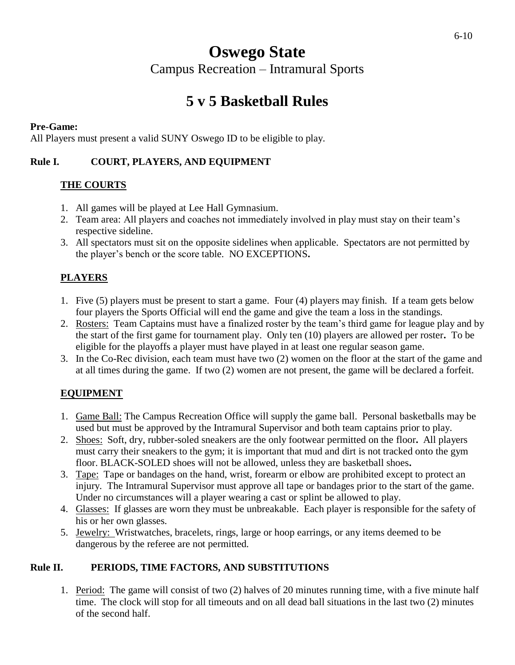# **Oswego State**

Campus Recreation – Intramural Sports

## **5 v 5 Basketball Rules**

#### **Pre-Game:**

All Players must present a valid SUNY Oswego ID to be eligible to play.

#### **Rule I. COURT, PLAYERS, AND EQUIPMENT**

#### **THE COURTS**

- 1. All games will be played at Lee Hall Gymnasium.
- 2. Team area: All players and coaches not immediately involved in play must stay on their team's respective sideline.
- 3. All spectators must sit on the opposite sidelines when applicable. Spectators are not permitted by the player's bench or the score table. NO EXCEPTIONS**.**

### **PLAYERS**

- 1. Five (5) players must be present to start a game. Four (4) players may finish. If a team gets below four players the Sports Official will end the game and give the team a loss in the standings.
- 2. Rosters: Team Captains must have a finalized roster by the team's third game for league play and by the start of the first game for tournament play. Only ten (10) players are allowed per roster**.** To be eligible for the playoffs a player must have played in at least one regular season game.
- 3. In the Co-Rec division, each team must have two (2) women on the floor at the start of the game and at all times during the game. If two (2) women are not present, the game will be declared a forfeit.

### **EQUIPMENT**

- 1. Game Ball: The Campus Recreation Office will supply the game ball. Personal basketballs may be used but must be approved by the Intramural Supervisor and both team captains prior to play.
- 2. Shoes: Soft, dry, rubber-soled sneakers are the only footwear permitted on the floor**.** All players must carry their sneakers to the gym; it is important that mud and dirt is not tracked onto the gym floor. BLACK-SOLED shoes will not be allowed, unless they are basketball shoes**.**
- 3. Tape: Tape or bandages on the hand, wrist, forearm or elbow are prohibited except to protect an injury. The Intramural Supervisor must approve all tape or bandages prior to the start of the game. Under no circumstances will a player wearing a cast or splint be allowed to play.
- 4. Glasses: If glasses are worn they must be unbreakable. Each player is responsible for the safety of his or her own glasses.
- 5. Jewelry: Wristwatches, bracelets, rings, large or hoop earrings, or any items deemed to be dangerous by the referee are not permitted.

#### **Rule II. PERIODS, TIME FACTORS, AND SUBSTITUTIONS**

1. Period: The game will consist of two (2) halves of 20 minutes running time, with a five minute half time. The clock will stop for all timeouts and on all dead ball situations in the last two (2) minutes of the second half.